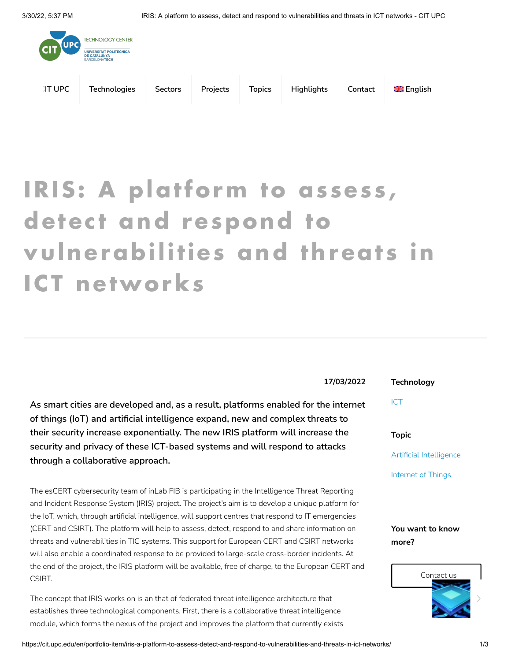

## **IRIS: A platform to as ses s ,** detect and **respond** to **vulnerabilities and threat s in ICT networks**

**As smart cities are developed and, as a result, platforms enabled for the internet of things (IoT) and artificial intelligence expand, new and complex threats to their security increase exponentially. The new IRIS platform will increase the security and privacy of these ICT-based systems and will respond to attacks through a collaborative approach.**

The esCERT cybersecurity team of inLab FIB is participating in the Intelligence Threat Reporting and Incident Response System (IRIS) project. The project's aim is to develop a unique platform for the IoT, which, through artificial intelligence, will support centres that respond to IT emergencies (CERT and CSIRT). The platform will help to assess, detect, respond to and share information on threats and vulnerabilities in TIC systems. This support for European CERT and CSIRT networks will also enable a coordinated response to be provided to large-scale cross-border incidents. At the end of the project, the IRIS platform will be available, free of charge, to the European CERT and CSIRT.

The concept that IRIS works on is an that of federated threat intelligence architecture that establishes three technological components. First, there is a collaborative threat intelligence module, which forms the nexus of the project and improves the platform that currently exists

**17/03/2022**

**Technology**

[ICT](https://cit.upc.edu/en/ict/)

**Topic**

Artificial [Intelligence](https://cit.upc.edu/en/artificial-ntelligence/)

[Internet](https://cit.upc.edu/en/internet-of-things/) of Things

**You want to know more?**



https://cit.upc.edu/en/portfolio-item/iris-a-platform-to-assess-detect-and-respond-to-vulnerabilities-and-threats-in-ict-networks/ 1/3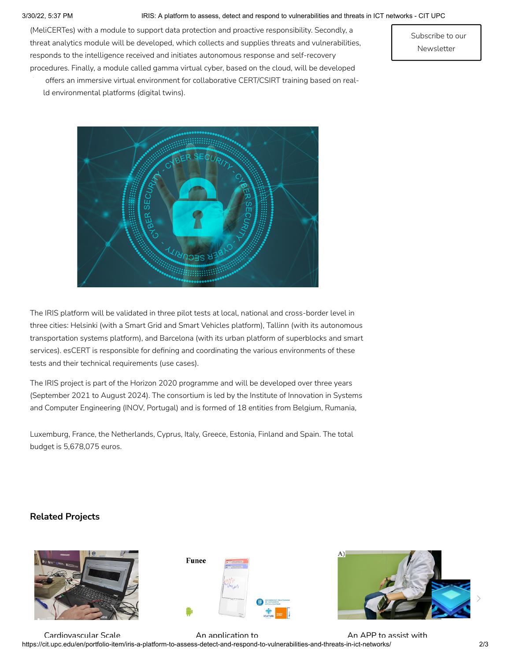## 3/30/22, 5:37 PM IRIS: A platform to assess, detect and respond to vulnerabilities and threats in ICT networks - CIT UPC

(MeliCERTes) with a module to support data protection and proactive responsibility. Secondly, a threat analytics module will be developed, which collects and supplies threats and vulnerabilities, responds to the intelligence received and initiates autonomous response and self-recovery procedures. Finally, a module called gamma virtual cyber, based on the cloud, will be developed

Subscribe to our [Newsletter](https://cit.upc.edu/en/newsletter/)

offers an immersive virtual environment for collaborative CERT/CSIRT training based on realld environmental platforms (digital twins).



The IRIS platform will be validated in three pilot tests at local, national and cross-border level in three cities: Helsinki (with a Smart Grid and Smart Vehicles platform), Tallinn (with its autonomous transportation systems platform), and Barcelona (with its urban platform of superblocks and smart services). esCERT is responsible for defining and coordinating the various environments of these tests and their technical requirements (use cases).

The IRIS project is part of the Horizon 2020 programme and will be developed over three years (September 2021 to August 2024). The consortium is led by the Institute of Innovation in Systems and Computer Engineering (INOV, Portugal) and is formed of 18 entities from Belgium, Rumania,

Luxemburg, France, the Netherlands, Cyprus, Italy, Greece, Estonia, Finland and Spain. The total budget is 5,678,075 euros.

## **Related Projects**







https://cit.upc.edu/en/portfolio-item/iris-a-platform-to-assess-detect-and-respond-to-vulnerabilities-and-threats-in-ict-networks/ 2/3 [Cardiovascular](https://cit.upc.edu/en/portfolio-item/cardiovascular-scale-and-other-devices-for-fast-remotecardiovascular-monitoring/) Scale An [application](https://cit.upc.edu/en/portfolio-item/lam-app-knee/) to An APP to [assist](https://cit.upc.edu/en/portfolio-item/lam_app_parkinson/) with